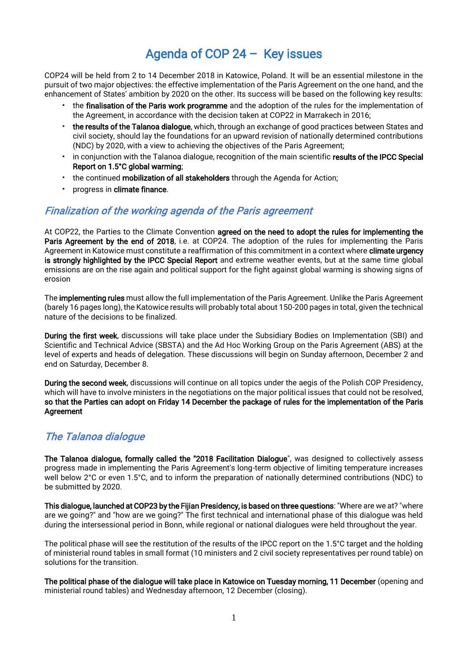# Agenda of COP 24 – Key issues

COP24 will be held from 2 to 14 December 2018 in Katowice, Poland. It will be an essential milestone in the pursuit of two major objectives: the effective implementation of the Paris Agreement on the one hand, and the enhancement of States' ambition by 2020 on the other. Its success will be based on the following key results:

- the finalisation of the Paris work programme and the adoption of the rules for the implementation of the Agreement, in accordance with the decision taken at COP22 in Marrakech in 2016;
- the results of the Talanoa dialogue, which, through an exchange of good practices between States and civil society, should lay the foundations for an upward revision of nationally determined contributions (NDC) by 2020, with a view to achieving the objectives of the Paris Agreement;
- in conjunction with the Talanoa dialogue, recognition of the main scientific results of the IPCC Special Report on 1.5°C global warming;
- the continued mobilization of all stakeholders through the Agenda for Action;
- progress in climate finance.

# Finalization of the working agenda of the Paris agreement

At COP22, the Parties to the Climate Convention agreed on the need to adopt the rules for implementing the Paris Agreement by the end of 2018, i.e. at COP24. The adoption of the rules for implementing the Paris Agreement in Katowice must constitute a reaffirmation of this commitment in a context where climate urgency is strongly highlighted by the IPCC Special Report and extreme weather events, but at the same time global emissions are on the rise again and political support for the fight against global warming is showing signs of erosion

The implementing rules must allow the full implementation of the Paris Agreement. Unlike the Paris Agreement (barely 16 pages long), the Katowice results will probably total about 150-200 pages in total, given the technical nature of the decisions to be finalized.

During the first week, discussions will take place under the Subsidiary Bodies on Implementation (SBI) and Scientific and Technical Advice (SBSTA) and the Ad Hoc Working Group on the Paris Agreement (ABS) at the level of experts and heads of delegation. These discussions will begin on Sunday afternoon, December 2 and end on Saturday, December 8.

During the second week, discussions will continue on all topics under the aegis of the Polish COP Presidency, which will have to involve ministers in the negotiations on the major political issues that could not be resolved, so that the Parties can adopt on Friday 14 December the package of rules for the implementation of the Paris **Agreement** 

# The Talanoa dialogue

The Talanoa dialogue, formally called the "2018 Facilitation Dialogue", was designed to collectively assess progress made in implementing the Paris Agreement's long-term objective of limiting temperature increases well below 2°C or even 1.5°C, and to inform the preparation of nationally determined contributions (NDC) to be submitted by 2020.

This dialogue, launched at COP23 by the Fijian Presidency, is based on three questions: "Where are we at? "where are we going?" and "how are we going?" The first technical and international phase of this dialogue was held during the intersessional period in Bonn, while regional or national dialogues were held throughout the year.

The political phase will see the restitution of the results of the IPCC report on the 1.5°C target and the holding of ministerial round tables in small format (10 ministers and 2 civil society representatives per round table) on solutions for the transition.

The political phase of the dialogue will take place in Katowice on Tuesday morning, 11 December (opening and ministerial round tables) and Wednesday afternoon, 12 December (closing).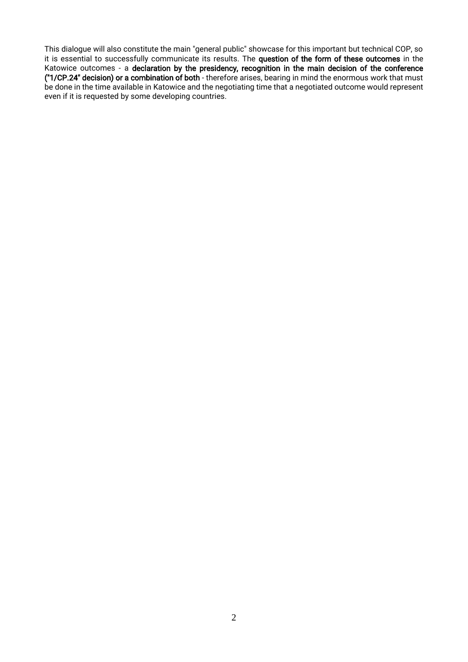This dialogue will also constitute the main "general public" showcase for this important but technical COP, so it is essential to successfully communicate its results. The question of the form of these outcomes in the Katowice outcomes - a declaration by the presidency, recognition in the main decision of the conference ("1/CP.24" decision) or a combination of both - therefore arises, bearing in mind the enormous work that must be done in the time available in Katowice and the negotiating time that a negotiated outcome would represent even if it is requested by some developing countries.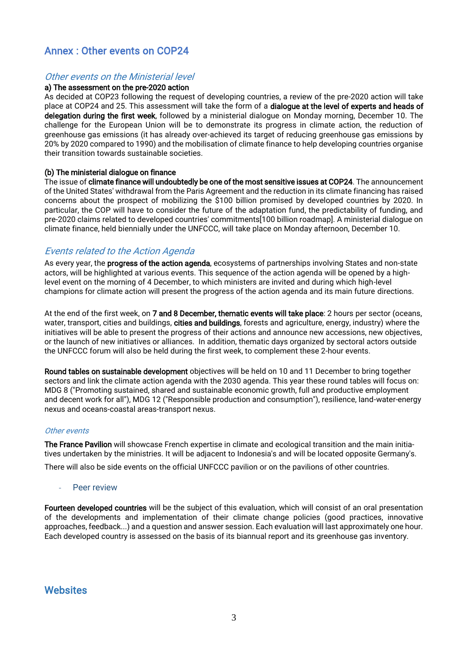# Annex : Other events on COP24

#### Other events on the Ministerial level

#### a) The assessment on the pre-2020 action

As decided at COP23 following the request of developing countries, a review of the pre-2020 action will take place at COP24 and 25. This assessment will take the form of a dialogue at the level of experts and heads of delegation during the first week, followed by a ministerial dialogue on Monday morning, December 10. The challenge for the European Union will be to demonstrate its progress in climate action, the reduction of greenhouse gas emissions (it has already over-achieved its target of reducing greenhouse gas emissions by 20% by 2020 compared to 1990) and the mobilisation of climate finance to help developing countries organise their transition towards sustainable societies.

#### (b) The ministerial dialogue on finance

The issue of climate finance will undoubtedly be one of the most sensitive issues at COP24. The announcement of the United States' withdrawal from the Paris Agreement and the reduction in its climate financing has raised concerns about the prospect of mobilizing the \$100 billion promised by developed countries by 2020. In particular, the COP will have to consider the future of the adaptation fund, the predictability of funding, and pre-2020 claims related to developed countries' commitments[100 billion roadmap]. A ministerial dialogue on climate finance, held biennially under the UNFCCC, will take place on Monday afternoon, December 10.

#### Events related to the Action Agenda

As every year, the **progress of the action agenda**, ecosystems of partnerships involving States and non-state actors, will be highlighted at various events. This sequence of the action agenda will be opened by a highlevel event on the morning of 4 December, to which ministers are invited and during which high-level champions for climate action will present the progress of the action agenda and its main future directions.

At the end of the first week, on 7 and 8 December, thematic events will take place: 2 hours per sector (oceans, water, transport, cities and buildings, cities and buildings, forests and agriculture, energy, industry) where the initiatives will be able to present the progress of their actions and announce new accessions, new objectives, or the launch of new initiatives or alliances. In addition, thematic days organized by sectoral actors outside the UNFCCC forum will also be held during the first week, to complement these 2-hour events.

Round tables on sustainable development objectives will be held on 10 and 11 December to bring together sectors and link the climate action agenda with the 2030 agenda. This year these round tables will focus on: MDG 8 ("Promoting sustained, shared and sustainable economic growth, full and productive employment and decent work for all"), MDG 12 ("Responsible production and consumption"), resilience, land-water-energy nexus and oceans-coastal areas-transport nexus.

#### Other events

The France Pavilion will showcase French expertise in climate and ecological transition and the main initiatives undertaken by the ministries. It will be adjacent to Indonesia's and will be located opposite Germany's.

There will also be side events on the official UNFCCC pavilion or on the pavilions of other countries.

#### Peer review

Fourteen developed countries will be the subject of this evaluation, which will consist of an oral presentation of the developments and implementation of their climate change policies (good practices, innovative approaches, feedback...) and a question and answer session. Each evaluation will last approximately one hour. Each developed country is assessed on the basis of its biannual report and its greenhouse gas inventory.

### **Websites**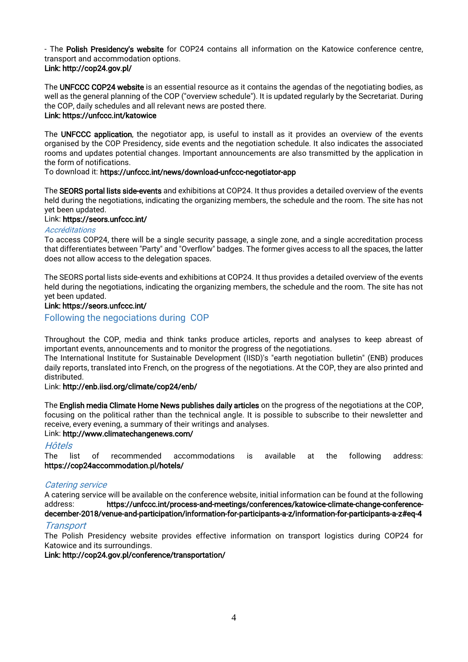- The Polish Presidency's website for COP24 contains all information on the Katowice conference centre, transport and accommodation options.

#### Link: http://cop24.gov.pl/

The UNFCCC COP24 website is an essential resource as it contains the agendas of the negotiating bodies, as well as the general planning of the COP ("overview schedule"). It is updated regularly by the Secretariat. During the COP, daily schedules and all relevant news are posted there.

### Link: https://unfccc.int/katowice

The UNFCCC application, the negotiator app, is useful to install as it provides an overview of the events organised by the COP Presidency, side events and the negotiation schedule. It also indicates the associated rooms and updates potential changes. Important announcements are also transmitted by the application in the form of notifications.

#### To download it: https://unfccc.int/news/download-unfccc-negotiator-app

The SEORS portal lists side-events and exhibitions at COP24. It thus provides a detailed overview of the events held during the negotiations, indicating the organizing members, the schedule and the room. The site has not yet been updated.

#### Link: https://seors.unfccc.int/

#### **Accréditations**

To access COP24, there will be a single security passage, a single zone, and a single accreditation process that differentiates between "Party" and "Overflow" badges. The former gives access to all the spaces, the latter does not allow access to the delegation spaces.

The SEORS portal lists side-events and exhibitions at COP24. It thus provides a detailed overview of the events held during the negotiations, indicating the organizing members, the schedule and the room. The site has not yet been updated.

#### Link: https://seors.unfccc.int/

Following the negociations during COP

Throughout the COP, media and think tanks produce articles, reports and analyses to keep abreast of important events, announcements and to monitor the progress of the negotiations.

The International Institute for Sustainable Development (IISD)'s "earth negotiation bulletin" (ENB) produces daily reports, translated into French, on the progress of the negotiations. At the COP, they are also printed and distributed.

#### Link: http://enb.iisd.org/climate/cop24/enb/

The English media Climate Home News publishes daily articles on the progress of the negotiations at the COP, focusing on the political rather than the technical angle. It is possible to subscribe to their newsletter and receive, every evening, a summary of their writings and analyses.

#### Link: http://www.climatechangenews.com/

#### **H**ôtel<sub>s</sub>

The list of recommended accommodations is available at the following address: https://cop24accommodation.pl/hotels/

#### Catering service

A catering service will be available on the conference website, initial information can be found at the following address: https://unfccc.int/process-and-meetings/conferences/katowice-climate-change-conferencedecember-2018/venue-and-participation/information-for-participants-a-z/information-for-participants-a-z#eq-4

#### **Transport**

The Polish Presidency website provides effective information on transport logistics during COP24 for Katowice and its surroundings.

#### Link: http://cop24.gov.pl/conference/transportation/